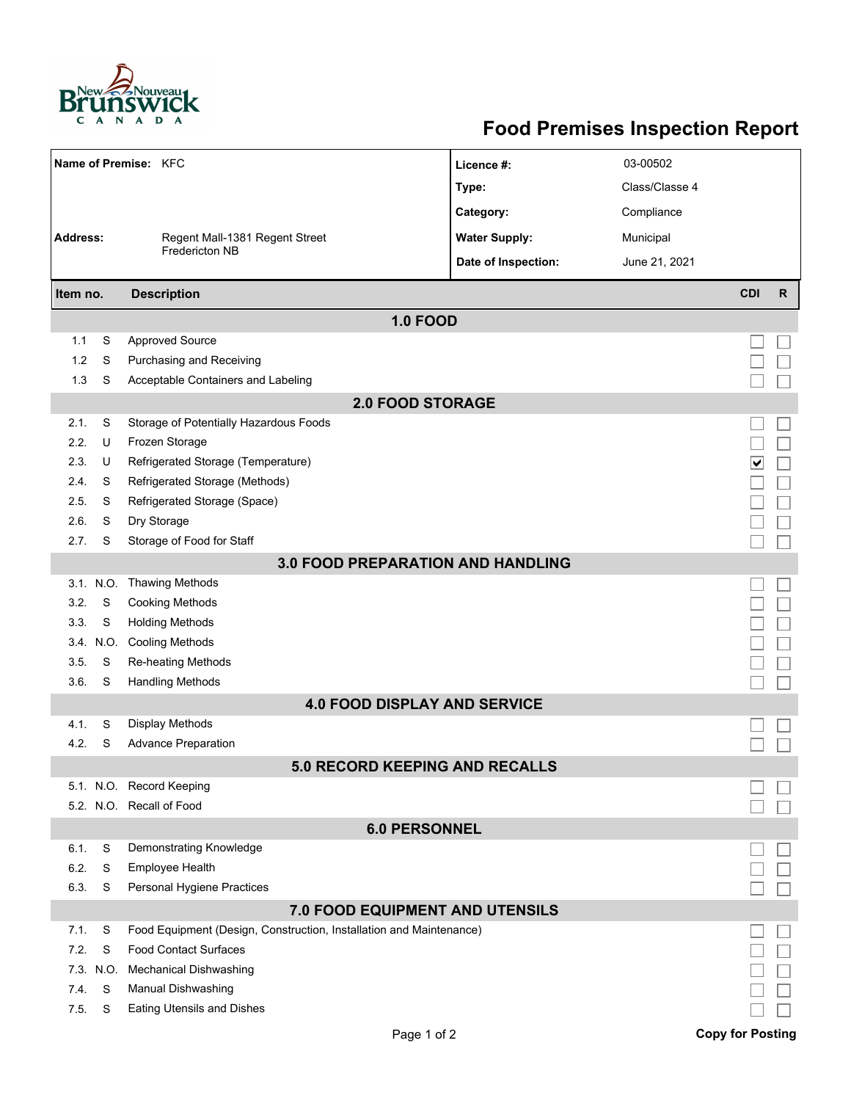

## **Food Premises Inspection Report**

| Name of Premise: KFC                     |           |                                                                     | Licence #:           | 03-00502       |                         |              |  |  |  |  |  |  |
|------------------------------------------|-----------|---------------------------------------------------------------------|----------------------|----------------|-------------------------|--------------|--|--|--|--|--|--|
|                                          |           |                                                                     | Type:                | Class/Classe 4 |                         |              |  |  |  |  |  |  |
|                                          |           |                                                                     | Category:            | Compliance     |                         |              |  |  |  |  |  |  |
| <b>Address:</b>                          |           | Regent Mall-1381 Regent Street                                      | <b>Water Supply:</b> | Municipal      |                         |              |  |  |  |  |  |  |
|                                          |           | <b>Fredericton NB</b>                                               | Date of Inspection:  | June 21, 2021  |                         |              |  |  |  |  |  |  |
|                                          |           |                                                                     |                      |                |                         |              |  |  |  |  |  |  |
| Item no.                                 |           | <b>Description</b>                                                  |                      |                | <b>CDI</b>              | $\mathsf{R}$ |  |  |  |  |  |  |
| <b>1.0 FOOD</b>                          |           |                                                                     |                      |                |                         |              |  |  |  |  |  |  |
| 1.1                                      | S         | <b>Approved Source</b>                                              |                      |                |                         |              |  |  |  |  |  |  |
| 1.2                                      | S         | Purchasing and Receiving                                            |                      |                |                         |              |  |  |  |  |  |  |
| 1.3                                      | S         | Acceptable Containers and Labeling                                  |                      |                |                         |              |  |  |  |  |  |  |
| <b>2.0 FOOD STORAGE</b>                  |           |                                                                     |                      |                |                         |              |  |  |  |  |  |  |
| 2.1.                                     | S         | Storage of Potentially Hazardous Foods                              |                      |                |                         |              |  |  |  |  |  |  |
| 2.2.                                     | U         | Frozen Storage                                                      |                      |                |                         |              |  |  |  |  |  |  |
| 2.3.                                     | U         | Refrigerated Storage (Temperature)<br>∣∨                            |                      |                |                         |              |  |  |  |  |  |  |
| 2.4.                                     | S         | Refrigerated Storage (Methods)                                      |                      |                |                         |              |  |  |  |  |  |  |
| 2.5.                                     | S         | Refrigerated Storage (Space)                                        |                      |                |                         |              |  |  |  |  |  |  |
| 2.6.                                     | S         | Dry Storage                                                         |                      |                |                         |              |  |  |  |  |  |  |
| 2.7.                                     | S         | Storage of Food for Staff                                           |                      |                |                         |              |  |  |  |  |  |  |
| <b>3.0 FOOD PREPARATION AND HANDLING</b> |           |                                                                     |                      |                |                         |              |  |  |  |  |  |  |
|                                          | 3.1. N.O. | <b>Thawing Methods</b>                                              |                      |                |                         |              |  |  |  |  |  |  |
| 3.2.                                     | S         | <b>Cooking Methods</b>                                              |                      |                |                         |              |  |  |  |  |  |  |
| 3.3.                                     | S         | <b>Holding Methods</b>                                              |                      |                |                         |              |  |  |  |  |  |  |
|                                          | 3.4 N.O.  | <b>Cooling Methods</b>                                              |                      |                |                         |              |  |  |  |  |  |  |
| 3.5.                                     | S         | Re-heating Methods                                                  |                      |                |                         |              |  |  |  |  |  |  |
| 3.6.                                     | S         | <b>Handling Methods</b>                                             |                      |                |                         |              |  |  |  |  |  |  |
|                                          |           | <b>4.0 FOOD DISPLAY AND SERVICE</b>                                 |                      |                |                         |              |  |  |  |  |  |  |
| 4.1.                                     | S         | Display Methods                                                     |                      |                |                         |              |  |  |  |  |  |  |
| 4.2.                                     | S         | <b>Advance Preparation</b>                                          |                      |                |                         |              |  |  |  |  |  |  |
|                                          |           | 5.0 RECORD KEEPING AND RECALLS                                      |                      |                |                         |              |  |  |  |  |  |  |
|                                          |           | 5.1. N.O. Record Keeping                                            |                      |                |                         |              |  |  |  |  |  |  |
|                                          |           | 5.2. N.O. Recall of Food                                            |                      |                |                         |              |  |  |  |  |  |  |
| <b>6.0 PERSONNEL</b>                     |           |                                                                     |                      |                |                         |              |  |  |  |  |  |  |
| 6.1.                                     | S         | Demonstrating Knowledge                                             |                      |                |                         |              |  |  |  |  |  |  |
| 6.2.                                     | S         | Employee Health                                                     |                      |                |                         |              |  |  |  |  |  |  |
| 6.3.                                     | S         | Personal Hygiene Practices                                          |                      |                |                         |              |  |  |  |  |  |  |
|                                          |           | 7.0 FOOD EQUIPMENT AND UTENSILS                                     |                      |                |                         |              |  |  |  |  |  |  |
| 7.1.                                     | S         | Food Equipment (Design, Construction, Installation and Maintenance) |                      |                |                         |              |  |  |  |  |  |  |
| 7.2.                                     | S         | <b>Food Contact Surfaces</b>                                        |                      |                |                         |              |  |  |  |  |  |  |
| 7.3.                                     | N.O.      | <b>Mechanical Dishwashing</b>                                       |                      |                |                         |              |  |  |  |  |  |  |
| 7.4.                                     | S         | Manual Dishwashing                                                  |                      |                |                         |              |  |  |  |  |  |  |
| 7.5.                                     | S         | <b>Eating Utensils and Dishes</b>                                   |                      |                |                         |              |  |  |  |  |  |  |
|                                          |           | Page 1 of 2                                                         |                      |                | <b>Copy for Posting</b> |              |  |  |  |  |  |  |